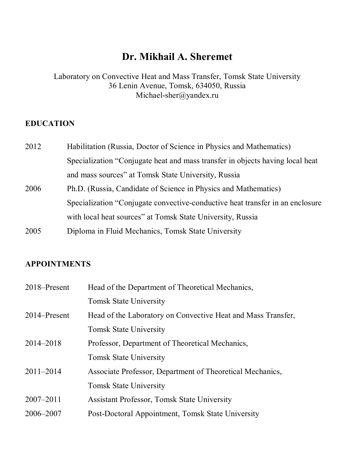# **Dr. Mikhail A. Sheremet**

Laboratory on Convective Heat and Mass Transfer, Tomsk State University 36 Lenin Avenue, Tomsk, 634050, Russia Michael-sher@yandex.ru

# **EDUCATION**

| 2012 | Habilitation (Russia, Doctor of Science in Physics and Mathematics)           |
|------|-------------------------------------------------------------------------------|
|      | Specialization "Conjugate heat and mass transfer in objects having local heat |
|      | and mass sources" at Tomsk State University, Russia                           |
| 2006 | Ph.D. (Russia, Candidate of Science in Physics and Mathematics)               |
|      | Specialization "Conjugate convective-conductive heat transfer in an enclosure |
|      | with local heat sources" at Tomsk State University, Russia                    |
|      |                                                                               |

2005 Diploma in Fluid Mechanics, Tomsk State University

# **APPOINTMENTS**

| 2018–Present  | Head of the Department of Theoretical Mechanics,             |
|---------------|--------------------------------------------------------------|
|               | <b>Tomsk State University</b>                                |
| 2014–Present  | Head of the Laboratory on Convective Heat and Mass Transfer, |
|               | <b>Tomsk State University</b>                                |
| 2014-2018     | Professor, Department of Theoretical Mechanics,              |
|               | <b>Tomsk State University</b>                                |
| $2011 - 2014$ | Associate Professor, Department of Theoretical Mechanics,    |
|               | <b>Tomsk State University</b>                                |
| $2007 - 2011$ | <b>Assistant Professor, Tomsk State University</b>           |
| 2006-2007     | Post-Doctoral Appointment, Tomsk State University            |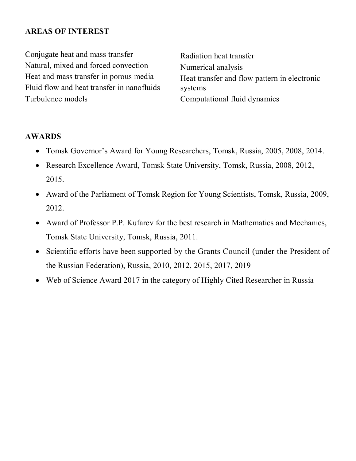#### **AREAS OF INTEREST**

Conjugate heat and mass transfer Natural, mixed and forced convection Heat and mass transfer in porous media Fluid flow and heat transfer in nanofluids Turbulence models

Radiation heat transfer Numerical analysis Heat transfer and flow pattern in electronic systems Computational fluid dynamics

#### **AWARDS**

- Tomsk Governor's Award for Young Researchers, Tomsk, Russia, 2005, 2008, 2014.
- Research Excellence Award, Tomsk State University, Tomsk, Russia, 2008, 2012, 2015.
- Award of the Parliament of Tomsk Region for Young Scientists, Tomsk, Russia, 2009, 2012.
- Award of Professor P.P. Kufarev for the best research in Mathematics and Mechanics, Tomsk State University, Tomsk, Russia, 2011.
- Scientific efforts have been supported by the Grants Council (under the President of the Russian Federation), Russia, 2010, 2012, 2015, 2017, 2019
- Web of Science Award 2017 in the category of Highly Cited Researcher in Russia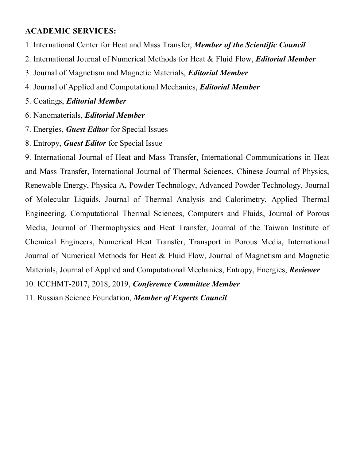## **ACADEMIC SERVICES:**

- 1. International Center for Heat and Mass Transfer, *Member of the Scientific Council*
- 2. International Journal of Numerical Methods for Heat & Fluid Flow, *Editorial Member*
- 3. Journal of Magnetism and Magnetic Materials, *Editorial Member*
- 4. Journal of Applied and Computational Mechanics, *Editorial Member*
- 5. Coatings, *Editorial Member*
- 6. Nanomaterials, *Editorial Member*
- 7. Energies, *Guest Editor* for Special Issues
- 8. Entropy, *Guest Editor* for Special Issue

9. International Journal of Heat and Mass Transfer, International Communications in Heat and Mass Transfer, International Journal of Thermal Sciences, Chinese Journal of Physics, Renewable Energy, Physica A, Powder Technology, Advanced Powder Technology, Journal of Molecular Liquids, Journal of Thermal Analysis and Calorimetry, Applied Thermal Engineering, Computational Thermal Sciences, Computers and Fluids, Journal of Porous Media, Journal of Thermophysics and Heat Transfer, Journal of the Taiwan Institute of Chemical Engineers, Numerical Heat Transfer, Transport in Porous Media, International Journal of Numerical Methods for Heat & Fluid Flow, Journal of Magnetism and Magnetic Materials, Journal of Applied and Computational Mechanics, Entropy, Energies, *Reviewer*

10. ICCHMT-2017, 2018, 2019, *Conference Committee Member*

11. Russian Science Foundation, *Member of Experts Council*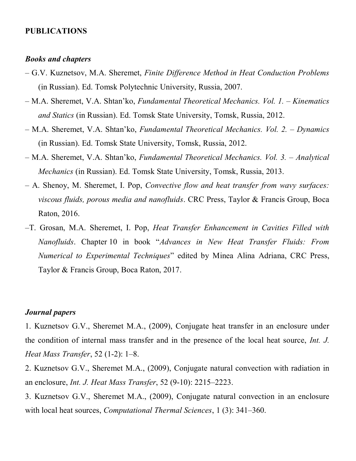#### **PUBLICATIONS**

#### *Books and chapters*

- G.V. Kuznetsov, M.A. Sheremet, *Finite Difference Method in Heat Conduction Problems*  (in Russian). Ed. Tomsk Polytechnic University, Russia, 2007.
- M.A. Sheremet, V.A. Shtan'ko, *Fundamental Theoretical Mechanics. Vol. 1. Kinematics and Statics* (in Russian). Ed. Tomsk State University, Tomsk, Russia, 2012.
- M.A. Sheremet, V.A. Shtan'ko, *Fundamental Theoretical Mechanics. Vol. 2. Dynamics* (in Russian). Ed. Tomsk State University, Tomsk, Russia, 2012.
- M.A. Sheremet, V.A. Shtan'ko, *Fundamental Theoretical Mechanics. Vol. 3. Analytical Mechanics* (in Russian). Ed. Tomsk State University, Tomsk, Russia, 2013.
- A. Shenoy, M. Sheremet, I. Pop, *Convective flow and heat transfer from wavy surfaces: viscous fluids, porous media and nanofluids*. CRC Press, Taylor & Francis Group, Boca Raton, 2016.
- –T. Grosan, M.A. Sheremet, I. Pop, *Heat Transfer Enhancement in Cavities Filled with Nanofluids*. Chapter 10 in book "*Advances in New Heat Transfer Fluids: From Numerical to Experimental Techniques*" edited by Minea Alina Adriana, CRC Press, Taylor & Francis Group, Boca Raton, 2017.

# *Journal papers*

1. Kuznetsov G.V., Sheremet M.A., (2009), Conjugate heat transfer in an enclosure under the condition of internal mass transfer and in the presence of the local heat source, *Int. J. Heat Mass Transfer*, 52 (1-2): 1–8.

2. Kuznetsov G.V., Sheremet M.A., (2009), Conjugate natural convection with radiation in an enclosure, *Int. J. Heat Mass Transfer*, 52 (9-10): 2215–2223.

3. Kuznetsov G.V., Sheremet M.A., (2009), Conjugate natural convection in an enclosure with local heat sources, *Computational Thermal Sciences*, 1 (3): 341–360.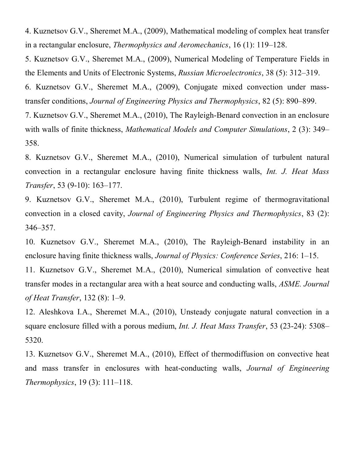4. Kuznetsov G.V., Sheremet M.A., (2009), Mathematical modeling of complex heat transfer in a rectangular enclosure, *Thermophysics and Aeromechanics*, 16 (1): 119–128.

5. Kuznetsov G.V., Sheremet M.A., (2009), Numerical Modeling of Temperature Fields in the Elements and Units of Electronic Systems, *Russian Microelectronics*, 38 (5): 312–319.

6. Kuznetsov G.V., Sheremet M.A., (2009), Conjugate mixed convection under masstransfer conditions, *Journal of Engineering Physics and Thermophysics*, 82 (5): 890–899.

7. Kuznetsov G.V., Sheremet M.A., (2010), The Rayleigh-Benard convection in an enclosure with walls of finite thickness, *Mathematical Models and Computer Simulations*, 2 (3): 349– 358.

8. Kuznetsov G.V., Sheremet M.A., (2010), Numerical simulation of turbulent natural convection in a rectangular enclosure having finite thickness walls, *Int. J. Heat Mass Transfer*, 53 (9-10): 163–177.

9. Kuznetsov G.V., Sheremet M.A., (2010), Turbulent regime of thermogravitational convection in a closed cavity, *Journal of Engineering Physics and Thermophysics*, 83 (2): 346–357.

10. Kuznetsov G.V., Sheremet M.A., (2010), The Rayleigh-Benard instability in an enclosure having finite thickness walls, *Journal of Physics: Conference Series*, 216: 1–15.

11. Kuznetsov G.V., Sheremet M.A., (2010), Numerical simulation of convective heat transfer modes in a rectangular area with a heat source and conducting walls, *ASME. Journal of Heat Transfer*, 132 (8): 1–9.

12. Aleshkova I.A., Sheremet M.A., (2010), Unsteady conjugate natural convection in a square enclosure filled with a porous medium, *Int. J. Heat Mass Transfer*, 53 (23-24): 5308– 5320.

13. Kuznetsov G.V., Sheremet M.A., (2010), Effect of thermodiffusion on convective heat and mass transfer in enclosures with heat-conducting walls, *Journal of Engineering Thermophysics*, 19 (3): 111–118.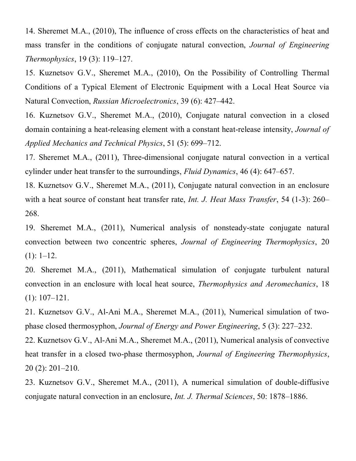14. Sheremet M.A., (2010), The influence of cross effects on the characteristics of heat and mass transfer in the conditions of conjugate natural convection, *Journal of Engineering Thermophysics*, 19 (3): 119–127.

15. Kuznetsov G.V., Sheremet M.A., (2010), On the Possibility of Controlling Thermal Conditions of a Typical Element of Electronic Equipment with a Local Heat Source via Natural Convection, *Russian Microelectronics*, 39 (6): 427–442.

16. Kuznetsov G.V., Sheremet M.A., (2010), Conjugate natural convection in a closed domain containing a heat-releasing element with a constant heat-release intensity, *Journal of Applied Mechanics and Technical Physics*, 51 (5): 699–712.

17. Sheremet M.A., (2011), Three-dimensional conjugate natural convection in a vertical cylinder under heat transfer to the surroundings, *Fluid Dynamics*, 46 (4): 647–657.

18. Kuznetsov G.V., Sheremet M.A., (2011), Conjugate natural convection in an enclosure with a heat source of constant heat transfer rate, *Int. J. Heat Mass Transfer*, 54 (1-3): 260– 268.

19. Sheremet M.A., (2011), Numerical analysis of nonsteady-state conjugate natural convection between two concentric spheres, *Journal of Engineering Thermophysics*, 20  $(1): 1-12.$ 

20. Sheremet M.A., (2011), Mathematical simulation of conjugate turbulent natural convection in an enclosure with local heat source, *Thermophysics and Aeromechanics*, 18 (1): 107–121.

21. Kuznetsov G.V., Al-Ani M.A., Sheremet M.A., (2011), Numerical simulation of twophase closed thermosyphon, *Journal of Energy and Power Engineering*, 5 (3): 227–232.

22. Kuznetsov G.V., Al-Ani M.A., Sheremet M.A., (2011), Numerical analysis of convective heat transfer in a closed two-phase thermosyphon, *Journal of Engineering Thermophysics*, 20 (2): 201–210.

23. Kuznetsov G.V., Sheremet M.A., (2011), A numerical simulation of double-diffusive conjugate natural convection in an enclosure, *Int. J. Thermal Sciences*, 50: 1878–1886.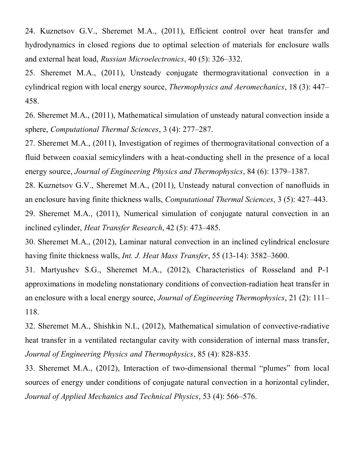24. Kuznetsov G.V., Sheremet M.A., (2011), Efficient control over heat transfer and hydrodynamics in closed regions due to optimal selection of materials for enclosure walls and external heat load, *Russian Microelectronics*, 40 (5): 326–332.

25. Sheremet M.A., (2011), Unsteady conjugate thermogravitational convection in a cylindrical region with local energy source, *Thermophysics and Aeromechanics*, 18 (3): 447– 458.

26. Sheremet M.A., (2011), Mathematical simulation of unsteady natural convection inside a sphere, *Computational Thermal Sciences*, 3 (4): 277–287.

27. Sheremet M.A., (2011), Investigation of regimes of thermogravitational convection of a fluid between coaxial semicylinders with a heat-conducting shell in the presence of a local energy source, *Journal of Engineering Physics and Thermophysics*, 84 (6): 1379–1387.

28. Kuznetsov G.V., Sheremet M.A., (2011), Unsteady natural convection of nanofluids in an enclosure having finite thickness walls, *Computational Thermal Sciences*, 3 (5): 427–443.

29. Sheremet M.A., (2011), Numerical simulation of conjugate natural convection in an inclined cylinder, *Heat Transfer Research*, 42 (5): 473–485.

30. Sheremet M.A., (2012), Laminar natural convection in an inclined cylindrical enclosure having finite thickness walls, *Int. J. Heat Mass Transfer*, 55 (13-14): 3582–3600.

31. Martyushev S.G., Sheremet M.A., (2012), Characteristics of Rosseland and P-1 approximations in modeling nonstationary conditions of convection-radiation heat transfer in an enclosure with a local energy source, *Journal of Engineering Thermophysics*, 21 (2): 111– 118.

32. Sheremet M.A., Shishkin N.I., (2012), Mathematical simulation of convective-radiative heat transfer in a ventilated rectangular cavity with consideration of internal mass transfer, *Journal of Engineering Physics and Thermophysics*, 85 (4): 828-835.

33. Sheremet M.A., (2012), Interaction of two-dimensional thermal "plumes" from local sources of energy under conditions of conjugate natural convection in a horizontal cylinder, *Journal of Applied Mechanics and Technical Physics*, 53 (4): 566–576.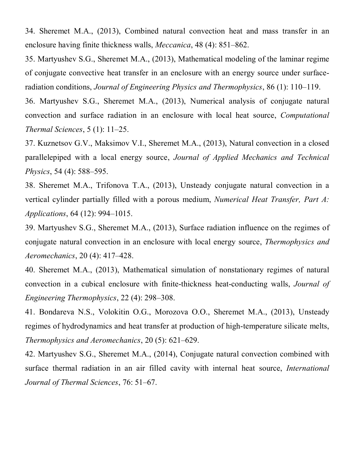34. Sheremet M.A., (2013), Combined natural convection heat and mass transfer in an enclosure having finite thickness walls, *Meccanica*, 48 (4): 851–862.

35. Martyushev S.G., Sheremet M.A., (2013), Mathematical modeling of the laminar regime of conjugate convective heat transfer in an enclosure with an energy source under surfaceradiation conditions, *Journal of Engineering Physics and Thermophysics*, 86 (1): 110–119.

36. Martyushev S.G., Sheremet M.A., (2013), Numerical analysis of conjugate natural convection and surface radiation in an enclosure with local heat source, *Computational Thermal Sciences*, 5 (1): 11–25.

37. Kuznetsov G.V., Maksimov V.I., Sheremet M.A., (2013), Natural convection in a closed parallelepiped with a local energy source, *Journal of Applied Mechanics and Technical Physics*, 54 (4): 588–595.

38. Sheremet M.A., Trifonova T.A., (2013), Unsteady conjugate natural convection in a vertical cylinder partially filled with a porous medium, *Numerical Heat Transfer, Part A: Applications*, 64 (12): 994–1015.

39. Martyushev S.G., Sheremet M.A., (2013), Surface radiation influence on the regimes of conjugate natural convection in an enclosure with local energy source, *Thermophysics and Aeromechanics*, 20 (4): 417–428.

40. Sheremet M.A., (2013), Mathematical simulation of nonstationary regimes of natural convection in a cubical enclosure with finite-thickness heat-conducting walls, *Journal of Engineering Thermophysics*, 22 (4): 298–308.

41. Bondareva N.S., Volokitin O.G., Morozova O.O., Sheremet M.A., (2013), Unsteady regimes of hydrodynamics and heat transfer at production of high-temperature silicate melts, *Thermophysics and Aeromechanics*, 20 (5): 621–629.

42. Martyushev S.G., Sheremet M.A., (2014), Conjugate natural convection combined with surface thermal radiation in an air filled cavity with internal heat source, *International Journal of Thermal Sciences*, 76: 51–67.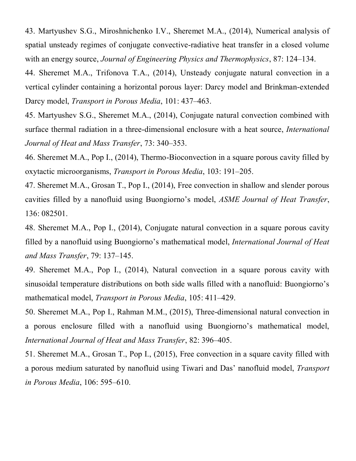43. Martyushev S.G., Miroshnichenko I.V., Sheremet M.A., (2014), Numerical analysis of spatial unsteady regimes of conjugate convective-radiative heat transfer in a closed volume with an energy source, *Journal of Engineering Physics and Thermophysics*, 87: 124–134.

44. Sheremet M.A., Trifonova T.A., (2014), Unsteady conjugate natural convection in a vertical cylinder containing a horizontal porous layer: Darcy model and Brinkman-extended Darcy model, *Transport in Porous Media*, 101: 437–463.

45. Martyushev S.G., Sheremet M.A., (2014), Conjugate natural convection combined with surface thermal radiation in a three-dimensional enclosure with a heat source, *International Journal of Heat and Mass Transfer*, 73: 340–353.

46. Sheremet M.A., Pop I., (2014), Thermo-Bioconvection in a square porous cavity filled by oxytactic microorganisms, *Transport in Porous Media*, 103: 191–205.

47. Sheremet M.A., Grosan T., Pop I., (2014), Free convection in shallow and slender porous cavities filled by a nanofluid using Buongiorno's model, *ASME Journal of Heat Transfer*, 136: 082501.

48. Sheremet M.A., Pop I., (2014), Conjugate natural convection in a square porous cavity filled by a nanofluid using Buongiorno's mathematical model, *International Journal of Heat and Mass Transfer*, 79: 137–145.

49. Sheremet M.A., Pop I., (2014), Natural convection in a square porous cavity with sinusoidal temperature distributions on both side walls filled with a nanofluid: Buongiorno's mathematical model, *Transport in Porous Media*, 105: 411–429.

50. Sheremet M.A., Pop I., Rahman M.M., (2015), Three-dimensional natural convection in a porous enclosure filled with a nanofluid using Buongiorno's mathematical model, *International Journal of Heat and Mass Transfer*, 82: 396–405.

51. Sheremet M.A., Grosan T., Pop I., (2015), Free convection in a square cavity filled with a porous medium saturated by nanofluid using Tiwari and Das' nanofluid model, *Transport in Porous Media*, 106: 595–610.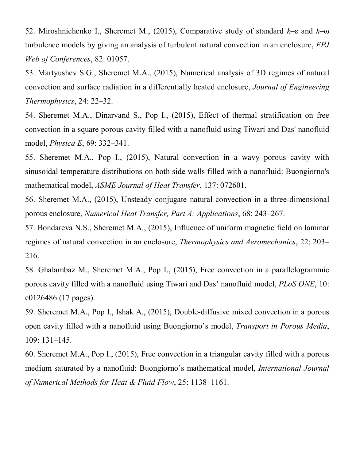52. Miroshnichenko I., Sheremet M., (2015), Comparative study of standard *k*–ε and *k*–ω turbulence models by giving an analysis of turbulent natural convection in an enclosure, *EPJ Web of Conferences*, 82: 01057.

53. Martyushev S.G., Sheremet M.A., (2015), Numerical analysis of 3D regimes of natural convection and surface radiation in a differentially heated enclosure, *Journal of Engineering Thermophysics*, 24: 22–32.

54. Sheremet M.A., Dinarvand S., Pop I., (2015), Effect of thermal stratification on free convection in a square porous cavity filled with a nanofluid using Tiwari and Das' nanofluid model, *Physica E*, 69: 332–341.

55. Sheremet M.A., Pop I., (2015), Natural convection in a wavy porous cavity with sinusoidal temperature distributions on both side walls filled with a nanofluid: Buongiorno's mathematical model, *ASME Journal of Heat Transfer*, 137: 072601.

56. Sheremet M.A., (2015), Unsteady conjugate natural convection in a three-dimensional porous enclosure, *Numerical Heat Transfer, Part A: Applications*, 68: 243–267.

57. Bondareva N.S., Sheremet M.A., (2015), Influence of uniform magnetic field on laminar regimes of natural convection in an enclosure, *Thermophysics and Aeromechanics*, 22: 203– 216.

58. Ghalambaz M., Sheremet M.A., Pop I., (2015), Free convection in a parallelogrammic porous cavity filled with a nanofluid using Tiwari and Das' nanofluid model, *PLoS ONE*, 10: e0126486 (17 pages).

59. Sheremet M.A., Pop I., Ishak A., (2015), Double-diffusive mixed convection in a porous open cavity filled with a nanofluid using Buongiorno's model, *Transport in Porous Media*, 109: 131–145.

60. Sheremet M.A., Pop I., (2015), Free convection in a triangular cavity filled with a porous medium saturated by a nanofluid: Buongiorno's mathematical model, *International Journal of Numerical Methods for Heat & Fluid Flow*, 25: 1138–1161.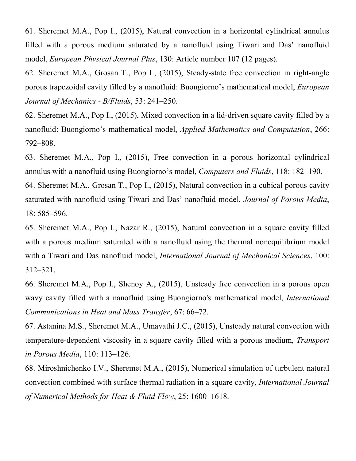61. Sheremet M.A., Pop I., (2015), Natural convection in a horizontal cylindrical annulus filled with a porous medium saturated by a nanofluid using Tiwari and Das' nanofluid model, *European Physical Journal Plus*, 130: Article number 107 (12 pages).

62. Sheremet M.A., Grosan T., Pop I., (2015), Steady-state free convection in right-angle porous trapezoidal cavity filled by a nanofluid: Buongiorno's mathematical model, *European Journal of Mechanics - B/Fluids*, 53: 241–250.

62. Sheremet M.A., Pop I., (2015), Mixed convection in a lid-driven square cavity filled by a nanofluid: Buongiorno's mathematical model, *Applied Mathematics and Computation*, 266: 792–808.

63. Sheremet M.A., Pop I., (2015), Free convection in a porous horizontal cylindrical annulus with a nanofluid using Buongiorno's model, *Computers and Fluids*, 118: 182–190.

64. Sheremet M.A., Grosan T., Pop I., (2015), Natural convection in a cubical porous cavity saturated with nanofluid using Tiwari and Das' nanofluid model, *Journal of Porous Media*, 18: 585–596.

65. Sheremet M.A., Pop I., Nazar R., (2015), Natural convection in a square cavity filled with a porous medium saturated with a nanofluid using the thermal nonequilibrium model with a Tiwari and Das nanofluid model, *International Journal of Mechanical Sciences*, 100: 312–321.

66. Sheremet M.A., Pop I., Shenoy A., (2015), Unsteady free convection in a porous open wavy cavity filled with a nanofluid using Buongiorno's mathematical model, *International Communications in Heat and Mass Transfer*, 67: 66–72.

67. Astanina M.S., Sheremet M.A., Umavathi J.C., (2015), Unsteady natural convection with temperature-dependent viscosity in a square cavity filled with a porous medium, *Transport in Porous Media*, 110: 113–126.

68. Miroshnichenko I.V., Sheremet M.A., (2015), Numerical simulation of turbulent natural convection combined with surface thermal radiation in a square cavity, *International Journal of Numerical Methods for Heat & Fluid Flow*, 25: 1600–1618.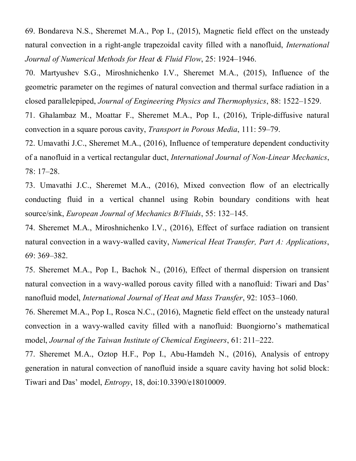69. Bondareva N.S., Sheremet M.A., Pop I., (2015), Magnetic field effect on the unsteady natural convection in a right-angle trapezoidal cavity filled with a nanofluid, *International Journal of Numerical Methods for Heat & Fluid Flow*, 25: 1924–1946.

70. Martyushev S.G., Miroshnichenko I.V., Sheremet M.A., (2015), Influence of the geometric parameter on the regimes of natural convection and thermal surface radiation in a closed parallelepiped, *Journal of Engineering Physics and Thermophysics*, 88: 1522–1529.

71. Ghalambaz M., Moattar F., Sheremet M.A., Pop I., (2016), Triple-diffusive natural convection in a square porous cavity, *Transport in Porous Media*, 111: 59–79.

72. Umavathi J.C., Sheremet M.A., (2016), Influence of temperature dependent conductivity of a nanofluid in a vertical rectangular duct, *International Journal of Non-Linear Mechanics*, 78: 17–28.

73. Umavathi J.C., Sheremet M.A., (2016), Mixed convection flow of an electrically conducting fluid in a vertical channel using Robin boundary conditions with heat source/sink, *European Journal of Mechanics B/Fluids*, 55: 132–145.

74. Sheremet M.A., Miroshnichenko I.V., (2016), Effect of surface radiation on transient natural convection in a wavy-walled cavity, *Numerical Heat Transfer, Part A: Applications*, 69: 369–382.

75. Sheremet M.A., Pop I., Bachok N., (2016), Effect of thermal dispersion on transient natural convection in a wavy-walled porous cavity filled with a nanofluid: Tiwari and Das' nanofluid model, *International Journal of Heat and Mass Transfer*, 92: 1053–1060.

76. Sheremet M.A., Pop I., Rosca N.C., (2016), Magnetic field effect on the unsteady natural convection in a wavy-walled cavity filled with a nanofluid: Buongiorno's mathematical model, *Journal of the Taiwan Institute of Chemical Engineers*, 61: 211–222.

77. Sheremet M.A., Oztop H.F., Pop I., Abu-Hamdeh N., (2016), Analysis of entropy generation in natural convection of nanofluid inside a square cavity having hot solid block: Tiwari and Das' model, *Entropy*, 18, doi:10.3390/e18010009.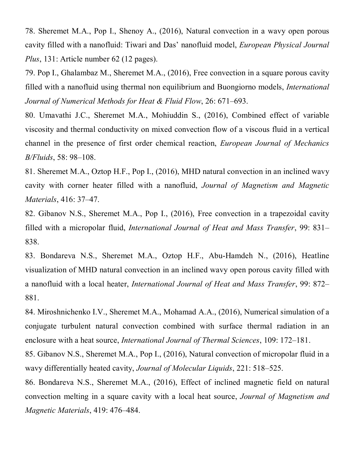78. Sheremet M.A., Pop I., Shenoy A., (2016), Natural convection in a wavy open porous cavity filled with a nanofluid: Tiwari and Das' nanofluid model, *European Physical Journal Plus*, 131: Article number 62 (12 pages).

79. Pop I., Ghalambaz M., Sheremet M.A., (2016), Free convection in a square porous cavity filled with a nanofluid using thermal non equilibrium and Buongiorno models, *International Journal of Numerical Methods for Heat & Fluid Flow*, 26: 671–693.

80. Umavathi J.C., Sheremet M.A., Mohiuddin S., (2016), Combined effect of variable viscosity and thermal conductivity on mixed convection flow of a viscous fluid in a vertical channel in the presence of first order chemical reaction, *European Journal of Mechanics B/Fluids*, 58: 98–108.

81. Sheremet M.A., Oztop H.F., Pop I., (2016), MHD natural convection in an inclined wavy cavity with corner heater filled with a nanofluid, *Journal of Magnetism and Magnetic Materials*, 416: 37–47.

82. Gibanov N.S., Sheremet M.A., Pop I., (2016), Free convection in a trapezoidal cavity filled with a micropolar fluid, *International Journal of Heat and Mass Transfer*, 99: 831– 838.

83. Bondareva N.S., Sheremet M.A., Oztop H.F., Abu-Hamdeh N., (2016), Heatline visualization of MHD natural convection in an inclined wavy open porous cavity filled with a nanofluid with a local heater, *International Journal of Heat and Mass Transfer*, 99: 872– 881.

84. Miroshnichenko I.V., Sheremet M.A., Mohamad A.A., (2016), Numerical simulation of a conjugate turbulent natural convection combined with surface thermal radiation in an enclosure with a heat source, *International Journal of Thermal Sciences*, 109: 172–181.

85. Gibanov N.S., Sheremet M.A., Pop I., (2016), Natural convection of micropolar fluid in a wavy differentially heated cavity, *Journal of Molecular Liquids*, 221: 518–525.

86. Bondareva N.S., Sheremet M.A., (2016), Effect of inclined magnetic field on natural convection melting in a square cavity with a local heat source, *Journal of Magnetism and Magnetic Materials*, 419: 476–484.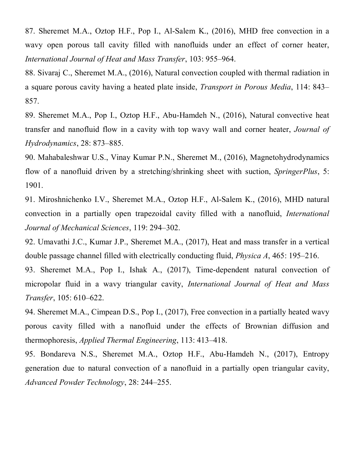87. Sheremet M.A., Oztop H.F., Pop I., Al-Salem K., (2016), MHD free convection in a wavy open porous tall cavity filled with nanofluids under an effect of corner heater, *International Journal of Heat and Mass Transfer*, 103: 955–964.

88. Sivaraj C., Sheremet M.A., (2016), Natural convection coupled with thermal radiation in a square porous cavity having a heated plate inside, *Transport in Porous Media*, 114: 843– 857.

89. Sheremet M.A., Pop I., Oztop H.F., Abu-Hamdeh N., (2016), Natural convective heat transfer and nanofluid flow in a cavity with top wavy wall and corner heater, *Journal of Hydrodynamics*, 28: 873–885.

90. Mahabaleshwar U.S., Vinay Kumar P.N., Sheremet M., (2016), Magnetohydrodynamics flow of a nanofluid driven by a stretching/shrinking sheet with suction, *SpringerPlus*, 5: 1901.

91. Miroshnichenko I.V., Sheremet M.A., Oztop H.F., Al-Salem K., (2016), MHD natural convection in a partially open trapezoidal cavity filled with a nanofluid, *International Journal of Mechanical Sciences*, 119: 294–302.

92. Umavathi J.C., Kumar J.P., Sheremet M.A., (2017), Heat and mass transfer in a vertical double passage channel filled with electrically conducting fluid, *Physica A*, 465: 195–216.

93. Sheremet M.A., Pop I., Ishak A., (2017), Time-dependent natural convection of micropolar fluid in a wavy triangular cavity, *International Journal of Heat and Mass Transfer*, 105: 610–622.

94. Sheremet M.A., Cimpean D.S., Pop I., (2017), Free convection in a partially heated wavy porous cavity filled with a nanofluid under the effects of Brownian diffusion and thermophoresis, *Applied Thermal Engineering*, 113: 413–418.

95. Bondareva N.S., Sheremet M.A., Oztop H.F., Abu-Hamdeh N., (2017), Entropy generation due to natural convection of a nanofluid in a partially open triangular cavity, *Advanced Powder Technology*, 28: 244–255.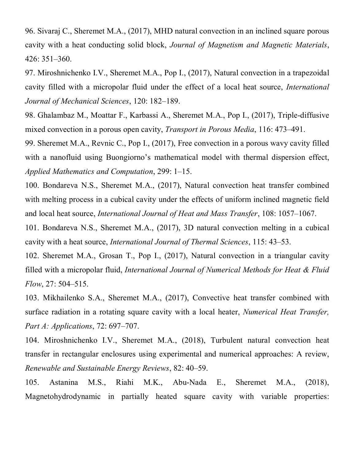96. Sivaraj C., Sheremet M.A., (2017), MHD natural convection in an inclined square porous cavity with a heat conducting solid block, *Journal of Magnetism and Magnetic Materials*, 426: 351–360.

97. Miroshnichenko I.V., Sheremet M.A., Pop I., (2017), Natural convection in a trapezoidal cavity filled with a micropolar fluid under the effect of a local heat source, *International Journal of Mechanical Sciences*, 120: 182–189.

98. Ghalambaz M., Moattar F., Karbassi A., Sheremet M.A., Pop I., (2017), Triple-diffusive mixed convection in a porous open cavity, *Transport in Porous Media*, 116: 473–491.

99. Sheremet M.A., Revnic C., Pop I., (2017), Free convection in a porous wavy cavity filled with a nanofluid using Buongiorno's mathematical model with thermal dispersion effect, *Applied Mathematics and Computation*, 299: 1–15.

100. Bondareva N.S., Sheremet M.A., (2017), Natural convection heat transfer combined with melting process in a cubical cavity under the effects of uniform inclined magnetic field and local heat source, *International Journal of Heat and Mass Transfer*, 108: 1057–1067.

101. Bondareva N.S., Sheremet M.A., (2017), 3D natural convection melting in a cubical cavity with a heat source, *International Journal of Thermal Sciences*, 115: 43–53.

102. Sheremet M.A., Grosan T., Pop I., (2017), Natural convection in a triangular cavity filled with a micropolar fluid, *International Journal of Numerical Methods for Heat & Fluid Flow*, 27: 504–515.

103. Mikhailenko S.A., Sheremet M.A., (2017), Convective heat transfer combined with surface radiation in a rotating square cavity with a local heater, *Numerical Heat Transfer, Part A: Applications*, 72: 697–707.

104. Miroshnichenko I.V., Sheremet M.A., (2018), Turbulent natural convection heat transfer in rectangular enclosures using experimental and numerical approaches: A review, *Renewable and Sustainable Energy Reviews*, 82: 40–59.

105. Astanina M.S., Riahi M.K., Abu-Nada E., Sheremet M.A., (2018), Magnetohydrodynamic in partially heated square cavity with variable properties: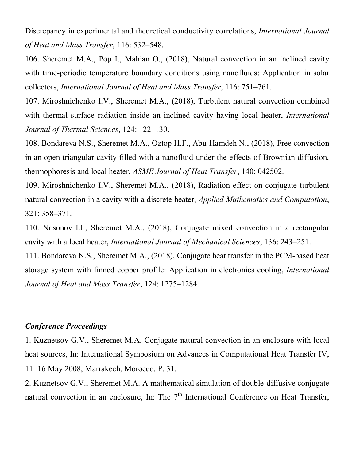Discrepancy in experimental and theoretical conductivity correlations, *International Journal of Heat and Mass Transfer*, 116: 532–548.

106. Sheremet M.A., Pop I., Mahian O., (2018), Natural convection in an inclined cavity with time-periodic temperature boundary conditions using nanofluids: Application in solar collectors, *International Journal of Heat and Mass Transfer*, 116: 751–761.

107. Miroshnichenko I.V., Sheremet M.A., (2018), Turbulent natural convection combined with thermal surface radiation inside an inclined cavity having local heater, *International Journal of Thermal Sciences*, 124: 122–130.

108. Bondareva N.S., Sheremet M.A., Oztop H.F., Abu-Hamdeh N., (2018), Free convection in an open triangular cavity filled with a nanofluid under the effects of Brownian diffusion, thermophoresis and local heater, *ASME Journal of Heat Transfer*, 140: 042502.

109. Miroshnichenko I.V., Sheremet M.A., (2018), Radiation effect on conjugate turbulent natural convection in a cavity with a discrete heater, *Applied Mathematics and Computation*, 321: 358–371.

110. Nosonov I.I., Sheremet M.A., (2018), Conjugate mixed convection in a rectangular cavity with a local heater, *International Journal of Mechanical Sciences*, 136: 243–251.

111. Bondareva N.S., Sheremet M.A., (2018), Conjugate heat transfer in the PCM-based heat storage system with finned copper profile: Application in electronics cooling, *International Journal of Heat and Mass Transfer*, 124: 1275–1284.

#### *Conference Proceedings*

1. Kuznetsov G.V., Sheremet M.A. Conjugate natural convection in an enclosure with local heat sources, In: International Symposium on Advances in Computational Heat Transfer IV, 11-16 May 2008, Marrakech, Morocco. P. 31.

2. Kuznetsov G.V., Sheremet M.A. A mathematical simulation of double-diffusive conjugate natural convection in an enclosure, In: The  $7<sup>th</sup>$  International Conference on Heat Transfer,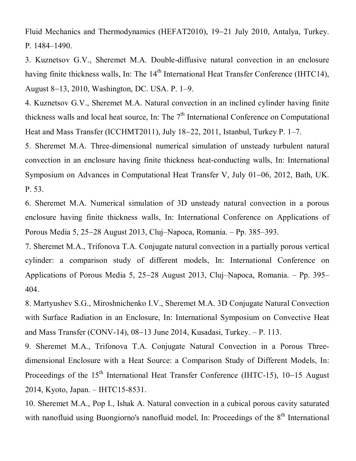Fluid Mechanics and Thermodynamics (HEFAT2010), 19-21 July 2010, Antalya, Turkey. P. 1484–1490.

3. Kuznetsov G.V., Sheremet M.A. Double-diffusive natural convection in an enclosure having finite thickness walls, In: The  $14<sup>th</sup>$  International Heat Transfer Conference (IHTC14), August 813, 2010, Washington, DC. USA. P. 1–9.

4. Kuznetsov G.V., Sheremet M.A. Natural convection in an inclined cylinder having finite thickness walls and local heat source, In: The 7<sup>th</sup> International Conference on Computational Heat and Mass Transfer (ICCHMT2011), July 18–22, 2011, Istanbul, Turkey P. 1–7.

5. Sheremet M.A. Three-dimensional numerical simulation of unsteady turbulent natural convection in an enclosure having finite thickness heat-conducting walls, In: International Symposium on Advances in Computational Heat Transfer V, July 01–06, 2012, Bath, UK. P. 53.

6. Sheremet M.A. Numerical simulation of 3D unsteady natural convection in a porous enclosure having finite thickness walls, In: International Conference on Applications of Porous Media 5, 25-28 August 2013, Cluj-Napoca, Romania. – Pp. 385-393.

7. Sheremet M.A., Trifonova T.A. Conjugate natural convection in a partially porous vertical cylinder: a comparison study of different models, In: International Conference on Applications of Porous Media 5, 25–28 August 2013, Cluj–Napoca, Romania. – Pp. 395– 404.

8. Martyushev S.G., Miroshnichenko I.V., Sheremet M.A. 3D Conjugate Natural Convection with Surface Radiation in an Enclosure, In: International Symposium on Convective Heat and Mass Transfer (CONV-14),  $08-13$  June 2014, Kusadasi, Turkey.  $- P. 113$ .

9. Sheremet M.A., Trifonova T.A. Conjugate Natural Convection in a Porous Threedimensional Enclosure with a Heat Source: a Comparison Study of Different Models, In: Proceedings of the  $15<sup>th</sup>$  International Heat Transfer Conference (IHTC-15), 10–15 August 2014, Kyoto, Japan. – IHTC15-8531.

10. Sheremet M.A., Pop I., Ishak A. Natural convection in a cubical porous cavity saturated with nanofluid using Buongiorno's nanofluid model, In: Proceedings of the 8<sup>th</sup> International